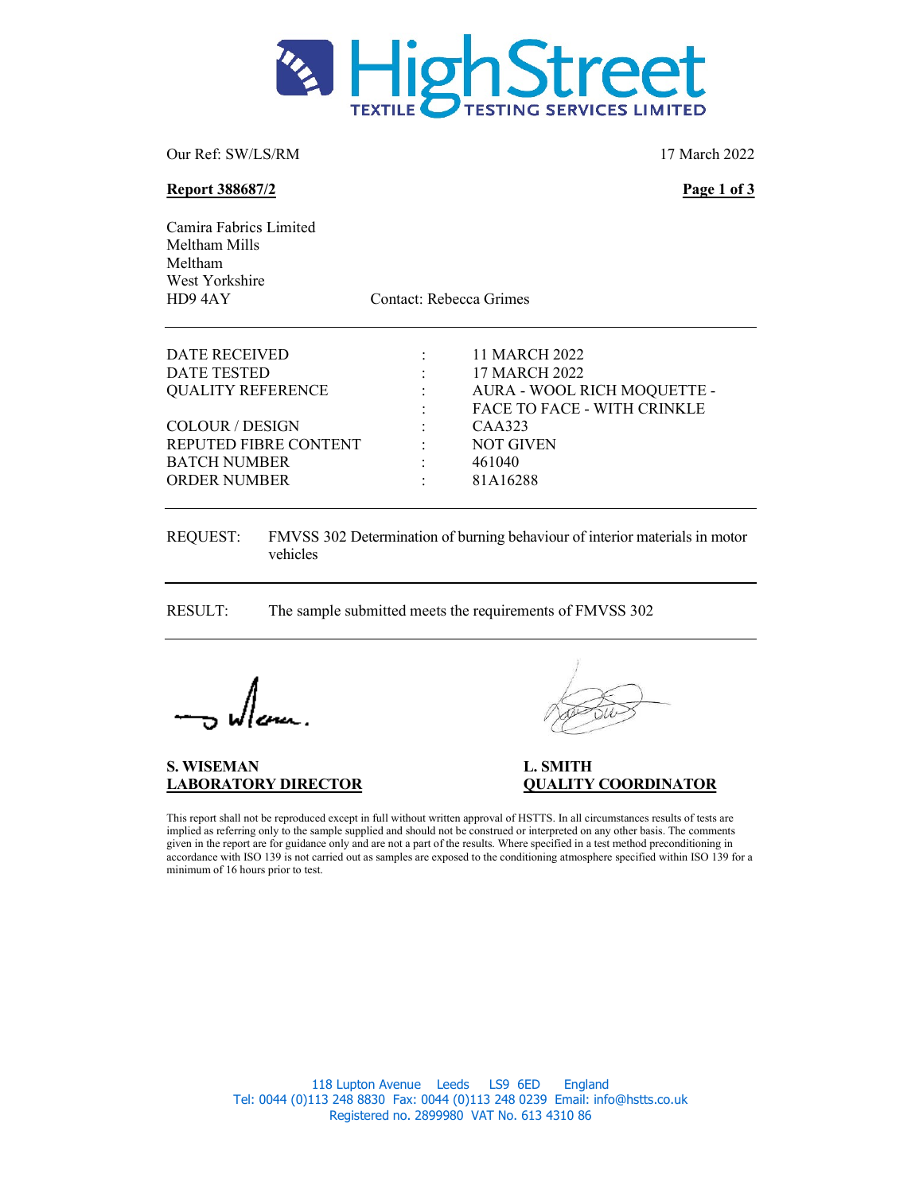

Our Ref: SW/LS/RM 17 March 2022

#### Report 388687/2 Page 1 of 3

| Camira Fabrics Limited<br>Meltham Mills<br>Meltham<br>West Yorkshire<br>HD94AY                                                                            | Contact: Rebecca Grimes |                                                                                                                                                         |
|-----------------------------------------------------------------------------------------------------------------------------------------------------------|-------------------------|---------------------------------------------------------------------------------------------------------------------------------------------------------|
| DATE RECEIVED<br>DATE TESTED<br><b>QUALITY REFERENCE</b><br><b>COLOUR / DESIGN</b><br>REPUTED FIBRE CONTENT<br><b>BATCH NUMBER</b><br><b>ORDER NUMBER</b> | ٠                       | 11 MARCH 2022<br>17 MARCH 2022<br>AURA - WOOL RICH MOQUETTE -<br><b>FACE TO FACE - WITH CRINKLE</b><br>CAA323<br><b>NOT GIVEN</b><br>461040<br>81A16288 |

REQUEST: FMVSS 302 Determination of burning behaviour of interior materials in motor vehicles

RESULT: The sample submitted meets the requirements of FMVSS 302

S. WISEMAN L. SMITH

LABORATORY DIRECTOR QUALITY COORDINATOR

This report shall not be reproduced except in full without written approval of HSTTS. In all circumstances results of tests are implied as referring only to the sample supplied and should not be construed or interpreted on any other basis. The comments given in the report are for guidance only and are not a part of the results. Where specified in a test method preconditioning in accordance with ISO 139 is not carried out as samples are exposed to the conditioning atmosphere specified within ISO 139 for a minimum of 16 hours prior to test.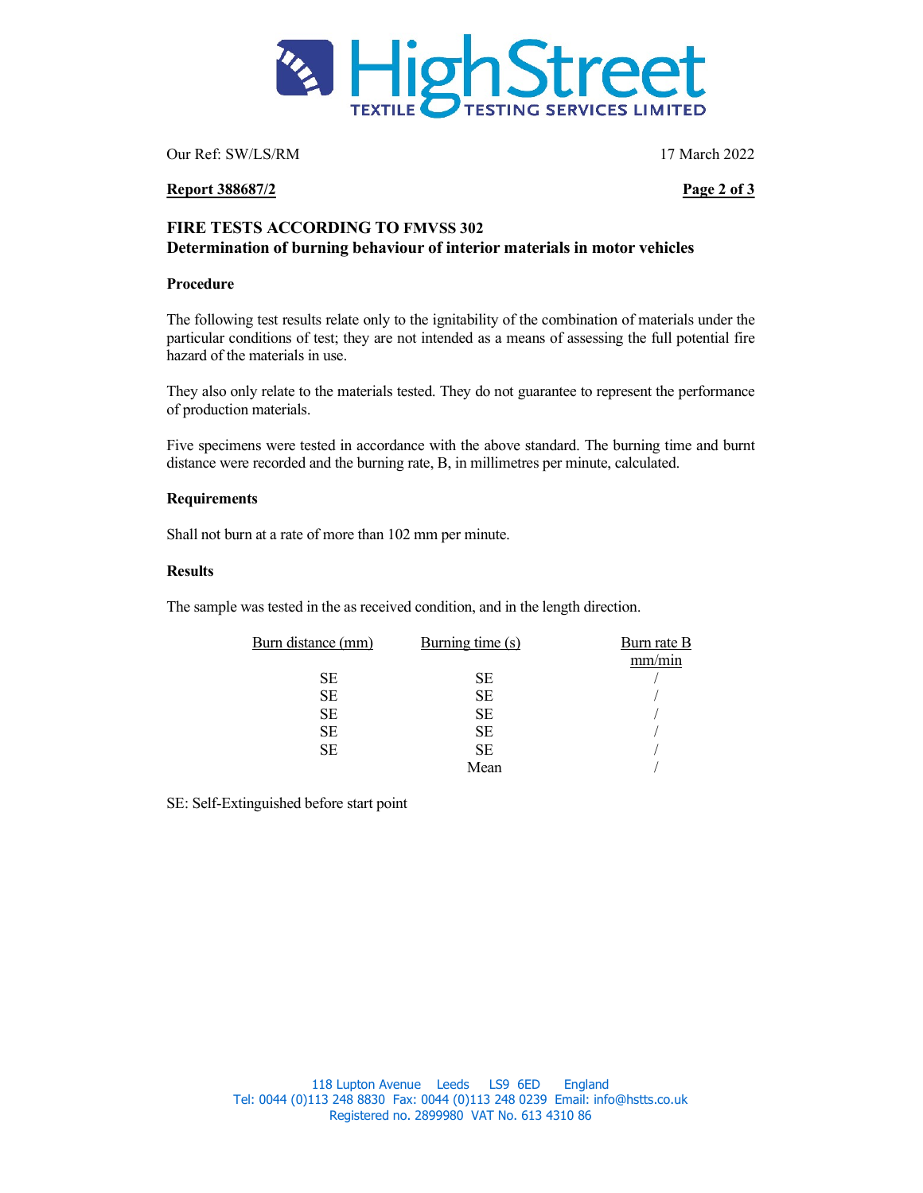

Our Ref: SW/LS/RM 17 March 2022

# Report 388687/2 Page 2 of 3

# FIRE TESTS ACCORDING TO FMVSS 302 Determination of burning behaviour of interior materials in motor vehicles

# Procedure

The following test results relate only to the ignitability of the combination of materials under the particular conditions of test; they are not intended as a means of assessing the full potential fire hazard of the materials in use.

They also only relate to the materials tested. They do not guarantee to represent the performance of production materials.

Five specimens were tested in accordance with the above standard. The burning time and burnt distance were recorded and the burning rate, B, in millimetres per minute, calculated.

# Requirements

Shall not burn at a rate of more than 102 mm per minute.

# Results

The sample was tested in the as received condition, and in the length direction.

| Burn distance (mm) | Burning time (s) | Burn rate B |
|--------------------|------------------|-------------|
|                    |                  | mm/min      |
| <b>SE</b>          | <b>SE</b>        |             |
| <b>SE</b>          | <b>SE</b>        |             |
| <b>SE</b>          | <b>SE</b>        |             |
| <b>SE</b>          | <b>SE</b>        |             |
| <b>SE</b>          | <b>SE</b>        |             |
|                    | Mean             |             |

SE: Self-Extinguished before start point